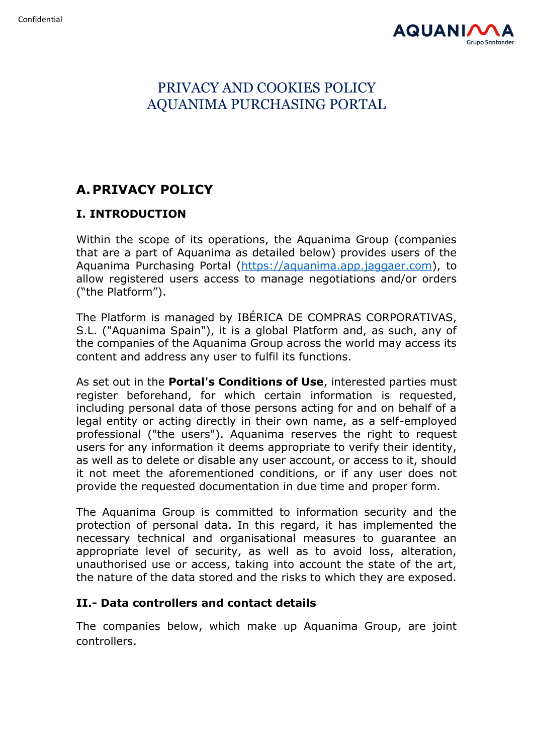

# PRIVACY AND COOKIES POLICY AQUANIMA PURCHASING PORTAL

# **A.PRIVACY POLICY**

# **I. INTRODUCTION**

Within the scope of its operations, the Aquanima Group (companies that are a part of Aquanima as detailed below) provides users of the Aquanima Purchasing Portal [\(https://aquanima.app.jaggaer.com\)](https://aquanima.app.jaggaer.com/), to allow registered users access to manage negotiations and/or orders ("the Platform").

The Platform is managed by IBÉRICA DE COMPRAS CORPORATIVAS, S.L. ("Aquanima Spain"), it is a global Platform and, as such, any of the companies of the Aquanima Group across the world may access its content and address any user to fulfil its functions.

As set out in the **Portal's Conditions of Use**, interested parties must register beforehand, for which certain information is requested, including personal data of those persons acting for and on behalf of a legal entity or acting directly in their own name, as a self-employed professional ("the users"). Aquanima reserves the right to request users for any information it deems appropriate to verify their identity, as well as to delete or disable any user account, or access to it, should it not meet the aforementioned conditions, or if any user does not provide the requested documentation in due time and proper form.

The Aquanima Group is committed to information security and the protection of personal data. In this regard, it has implemented the necessary technical and organisational measures to guarantee an appropriate level of security, as well as to avoid loss, alteration, unauthorised use or access, taking into account the state of the art, the nature of the data stored and the risks to which they are exposed.

## **II.- Data controllers and contact details**

The companies below, which make up Aquanima Group, are joint controllers.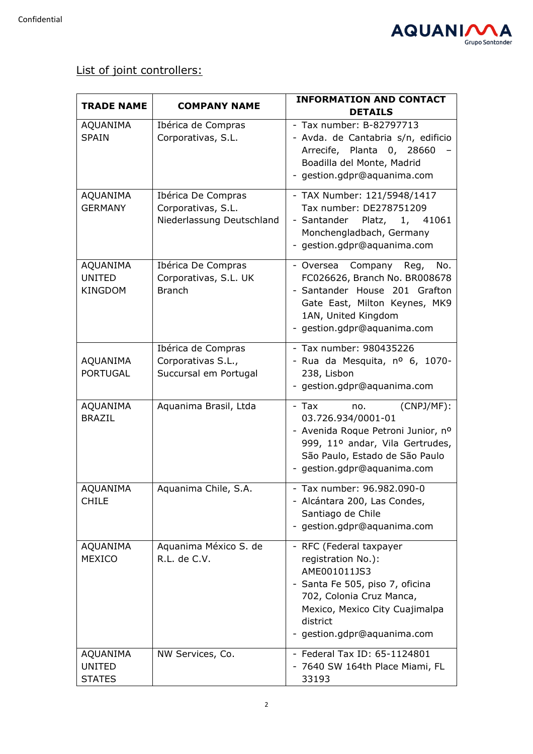

List of joint controllers:

| <b>TRADE NAME</b>                           | <b>COMPANY NAME</b>                                                   | <b>INFORMATION AND CONTACT</b>                                                                                                                                                                          |
|---------------------------------------------|-----------------------------------------------------------------------|---------------------------------------------------------------------------------------------------------------------------------------------------------------------------------------------------------|
|                                             |                                                                       | <b>DETAILS</b>                                                                                                                                                                                          |
| <b>AQUANIMA</b><br><b>SPAIN</b>             | Ibérica de Compras<br>Corporativas, S.L.                              | - Tax number: B-82797713<br>- Avda. de Cantabria s/n, edificio<br>Arrecife, Planta 0, 28660<br>Boadilla del Monte, Madrid<br>gestion.gdpr@aquanima.com                                                  |
| AQUANIMA<br><b>GERMANY</b>                  | Ibérica De Compras<br>Corporativas, S.L.<br>Niederlassung Deutschland | - TAX Number: 121/5948/1417<br>Tax number: DE278751209<br>- Santander Platz, 1, 41061<br>Monchengladbach, Germany<br>- gestion.gdpr@aquanima.com                                                        |
| AQUANIMA<br><b>UNITED</b><br><b>KINGDOM</b> | Ibérica De Compras<br>Corporativas, S.L. UK<br><b>Branch</b>          | Company Reg,<br>No.<br>- Oversea<br>FC026626, Branch No. BR008678<br>- Santander House 201 Grafton<br>Gate East, Milton Keynes, MK9<br>1AN, United Kingdom<br>- gestion.gdpr@aquanima.com               |
| AQUANIMA<br><b>PORTUGAL</b>                 | Ibérica de Compras<br>Corporativas S.L.,<br>Succursal em Portugal     | - Tax number: 980435226<br>- Rua da Mesquita, nº 6, 1070-<br>238, Lisbon<br>- gestion.gdpr@aquanima.com                                                                                                 |
| AQUANIMA<br><b>BRAZIL</b>                   | Aquanima Brasil, Ltda                                                 | $(CNPJ/MF)$ :<br>- Tax<br>no.<br>03.726.934/0001-01<br>- Avenida Roque Petroni Junior, nº<br>999, 11º andar, Vila Gertrudes,<br>São Paulo, Estado de São Paulo<br>- gestion.gdpr@aquanima.com           |
| AQUANIMA<br><b>CHILE</b>                    | Aquanima Chile, S.A.                                                  | - Tax number: 96.982.090-0<br>- Alcántara 200, Las Condes,<br>Santiago de Chile<br>- gestion.gdpr@aquanima.com                                                                                          |
| AQUANIMA<br><b>MEXICO</b>                   | Aquanima México S. de<br>R.L. de C.V.                                 | - RFC (Federal taxpayer<br>registration No.):<br>AME001011JS3<br>- Santa Fe 505, piso 7, oficina<br>702, Colonia Cruz Manca,<br>Mexico, Mexico City Cuajimalpa<br>district<br>gestion.gdpr@aquanima.com |
| AQUANIMA<br><b>UNITED</b><br><b>STATES</b>  | NW Services, Co.                                                      | - Federal Tax ID: 65-1124801<br>- 7640 SW 164th Place Miami, FL<br>33193                                                                                                                                |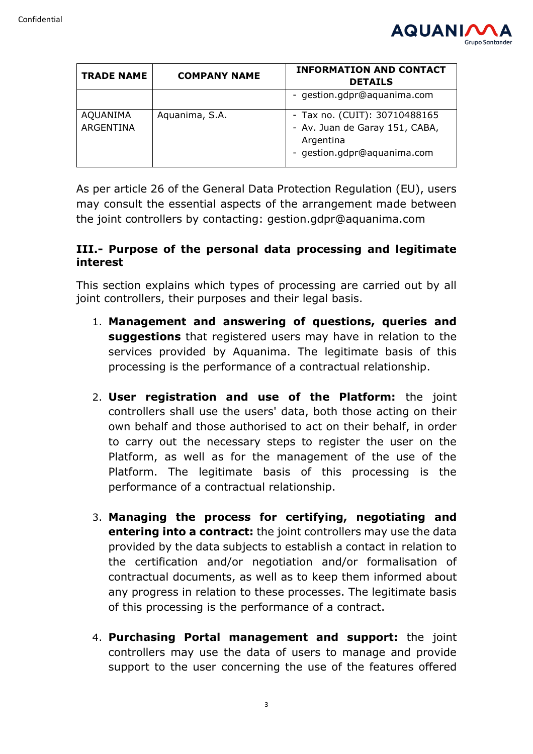

| <b>TRADE NAME</b>            | <b>COMPANY NAME</b> | <b>INFORMATION AND CONTACT</b><br><b>DETAILS</b>                                                            |
|------------------------------|---------------------|-------------------------------------------------------------------------------------------------------------|
|                              |                     | - gestion.gdpr@aquanima.com                                                                                 |
| <b>AQUANIMA</b><br>ARGENTINA | Aquanima, S.A.      | - Tax no. (CUIT): 30710488165<br>- Av. Juan de Garay 151, CABA,<br>Argentina<br>- gestion.gdpr@aquanima.com |

As per article 26 of the General Data Protection Regulation (EU), users may consult the essential aspects of the arrangement made between the joint controllers by contacting: gestion.gdpr@aquanima.com

# **III.- Purpose of the personal data processing and legitimate interest**

This section explains which types of processing are carried out by all joint controllers, their purposes and their legal basis.

- 1. **Management and answering of questions, queries and suggestions** that registered users may have in relation to the services provided by Aquanima. The legitimate basis of this processing is the performance of a contractual relationship.
- 2. **User registration and use of the Platform:** the joint controllers shall use the users' data, both those acting on their own behalf and those authorised to act on their behalf, in order to carry out the necessary steps to register the user on the Platform, as well as for the management of the use of the Platform. The legitimate basis of this processing is the performance of a contractual relationship.
- 3. **Managing the process for certifying, negotiating and entering into a contract:** the joint controllers may use the data provided by the data subjects to establish a contact in relation to the certification and/or negotiation and/or formalisation of contractual documents, as well as to keep them informed about any progress in relation to these processes. The legitimate basis of this processing is the performance of a contract.
- 4. **Purchasing Portal management and support:** the joint controllers may use the data of users to manage and provide support to the user concerning the use of the features offered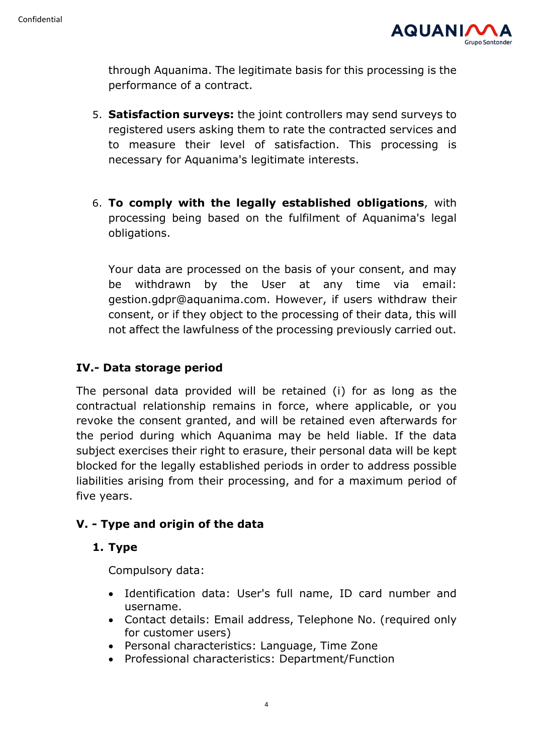

through Aquanima. The legitimate basis for this processing is the performance of a contract.

- 5. **Satisfaction surveys:** the joint controllers may send surveys to registered users asking them to rate the contracted services and to measure their level of satisfaction. This processing is necessary for Aquanima's legitimate interests.
- 6. **To comply with the legally established obligations**, with processing being based on the fulfilment of Aquanima's legal obligations.

Your data are processed on the basis of your consent, and may be withdrawn by the User at any time via email: gestion.gdpr@aquanima.com. However, if users withdraw their consent, or if they object to the processing of their data, this will not affect the lawfulness of the processing previously carried out.

# **IV.- Data storage period**

The personal data provided will be retained (i) for as long as the contractual relationship remains in force, where applicable, or you revoke the consent granted, and will be retained even afterwards for the period during which Aquanima may be held liable. If the data subject exercises their right to erasure, their personal data will be kept blocked for the legally established periods in order to address possible liabilities arising from their processing, and for a maximum period of five years.

## **V. - Type and origin of the data**

## **1. Type**

Compulsory data:

- Identification data: User's full name, ID card number and username.
- Contact details: Email address, Telephone No. (required only for customer users)
- Personal characteristics: Language, Time Zone
- Professional characteristics: Department/Function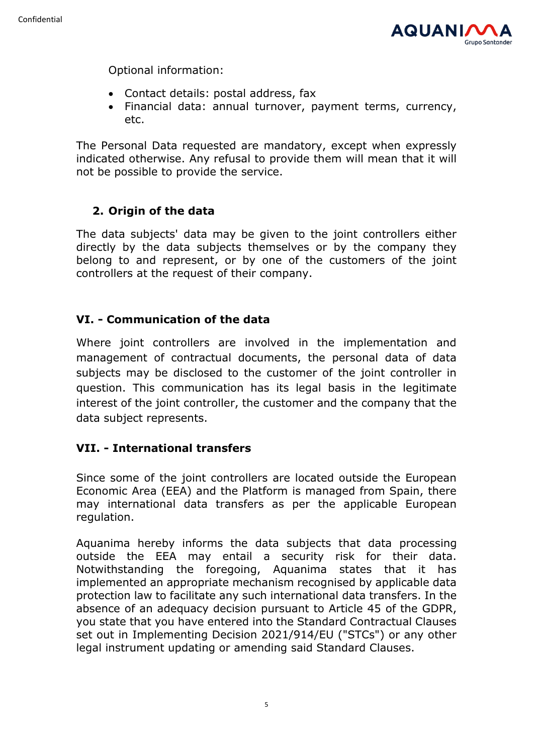

Optional information:

- Contact details: postal address, fax
- Financial data: annual turnover, payment terms, currency, etc.

The Personal Data requested are mandatory, except when expressly indicated otherwise. Any refusal to provide them will mean that it will not be possible to provide the service.

# **2. Origin of the data**

The data subjects' data may be given to the joint controllers either directly by the data subjects themselves or by the company they belong to and represent, or by one of the customers of the joint controllers at the request of their company.

# **VI. - Communication of the data**

Where joint controllers are involved in the implementation and management of contractual documents, the personal data of data subjects may be disclosed to the customer of the joint controller in question. This communication has its legal basis in the legitimate interest of the joint controller, the customer and the company that the data subject represents.

# **VII. - International transfers**

Since some of the joint controllers are located outside the European Economic Area (EEA) and the Platform is managed from Spain, there may international data transfers as per the applicable European regulation.

Aquanima hereby informs the data subjects that data processing outside the EEA may entail a security risk for their data. Notwithstanding the foregoing, Aquanima states that it has implemented an appropriate mechanism recognised by applicable data protection law to facilitate any such international data transfers. In the absence of an adequacy decision pursuant to Article 45 of the GDPR, you state that you have entered into the Standard Contractual Clauses set out in Implementing Decision 2021/914/EU ("STCs") or any other legal instrument updating or amending said Standard Clauses.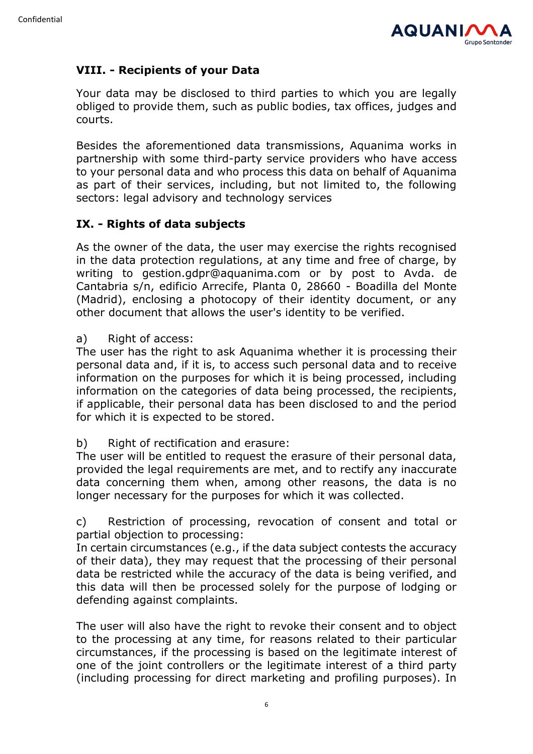

# **VIII. - Recipients of your Data**

Your data may be disclosed to third parties to which you are legally obliged to provide them, such as public bodies, tax offices, judges and courts.

Besides the aforementioned data transmissions, Aquanima works in partnership with some third-party service providers who have access to your personal data and who process this data on behalf of Aquanima as part of their services, including, but not limited to, the following sectors: legal advisory and technology services

## **IX. - Rights of data subjects**

As the owner of the data, the user may exercise the rights recognised in the data protection regulations, at any time and free of charge, by writing to gestion.gdpr@aquanima.com or by post to Avda. de Cantabria s/n, edificio Arrecife, Planta 0, 28660 - Boadilla del Monte (Madrid), enclosing a photocopy of their identity document, or any other document that allows the user's identity to be verified.

a) Right of access:

The user has the right to ask Aquanima whether it is processing their personal data and, if it is, to access such personal data and to receive information on the purposes for which it is being processed, including information on the categories of data being processed, the recipients, if applicable, their personal data has been disclosed to and the period for which it is expected to be stored.

b) Right of rectification and erasure:

The user will be entitled to request the erasure of their personal data, provided the legal requirements are met, and to rectify any inaccurate data concerning them when, among other reasons, the data is no longer necessary for the purposes for which it was collected.

c) Restriction of processing, revocation of consent and total or partial objection to processing:

In certain circumstances (e.g., if the data subject contests the accuracy of their data), they may request that the processing of their personal data be restricted while the accuracy of the data is being verified, and this data will then be processed solely for the purpose of lodging or defending against complaints.

The user will also have the right to revoke their consent and to object to the processing at any time, for reasons related to their particular circumstances, if the processing is based on the legitimate interest of one of the joint controllers or the legitimate interest of a third party (including processing for direct marketing and profiling purposes). In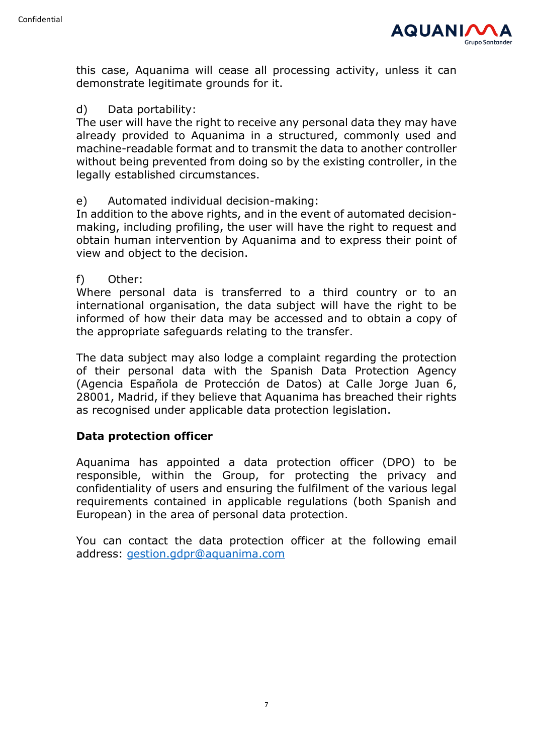

this case, Aquanima will cease all processing activity, unless it can demonstrate legitimate grounds for it.

#### d) Data portability:

The user will have the right to receive any personal data they may have already provided to Aquanima in a structured, commonly used and machine-readable format and to transmit the data to another controller without being prevented from doing so by the existing controller, in the legally established circumstances.

#### e) Automated individual decision-making:

In addition to the above rights, and in the event of automated decisionmaking, including profiling, the user will have the right to request and obtain human intervention by Aquanima and to express their point of view and object to the decision.

#### f) Other:

Where personal data is transferred to a third country or to an international organisation, the data subject will have the right to be informed of how their data may be accessed and to obtain a copy of the appropriate safeguards relating to the transfer.

The data subject may also lodge a complaint regarding the protection of their personal data with the Spanish Data Protection Agency (Agencia Española de Protección de Datos) at Calle Jorge Juan 6, 28001, Madrid, if they believe that Aquanima has breached their rights as recognised under applicable data protection legislation.

## **Data protection officer**

Aquanima has appointed a data protection officer (DPO) to be responsible, within the Group, for protecting the privacy and confidentiality of users and ensuring the fulfilment of the various legal requirements contained in applicable regulations (both Spanish and European) in the area of personal data protection.

You can contact the data protection officer at the following email address: [gestion.gdpr@aquanima.com](mailto:gestion.gdpr@aquanima.com)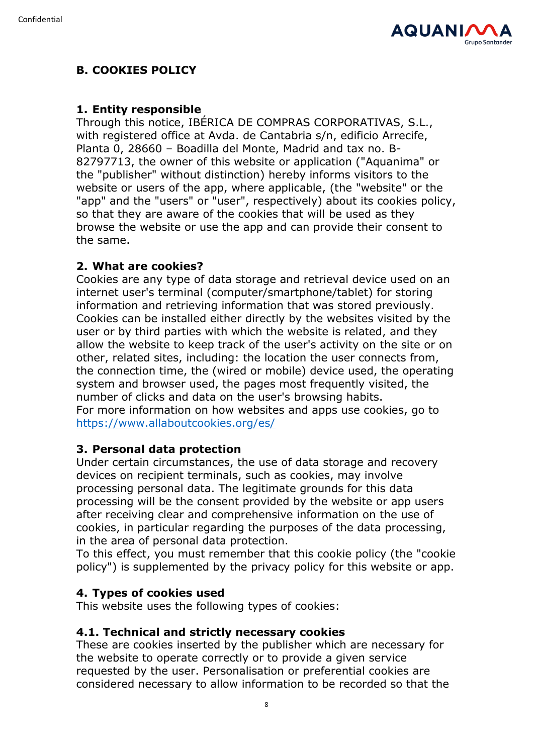

# **B. COOKIES POLICY**

## **1. Entity responsible**

Through this notice, IBÉRICA DE COMPRAS CORPORATIVAS, S.L., with registered office at Avda. de Cantabria s/n, edificio Arrecife, Planta 0, 28660 – Boadilla del Monte, Madrid and tax no. B-82797713, the owner of this website or application ("Aquanima" or the "publisher" without distinction) hereby informs visitors to the website or users of the app, where applicable, (the "website" or the "app" and the "users" or "user", respectively) about its cookies policy, so that they are aware of the cookies that will be used as they browse the website or use the app and can provide their consent to the same.

# **2. What are cookies?**

Cookies are any type of data storage and retrieval device used on an internet user's terminal (computer/smartphone/tablet) for storing information and retrieving information that was stored previously. Cookies can be installed either directly by the websites visited by the user or by third parties with which the website is related, and they allow the website to keep track of the user's activity on the site or on other, related sites, including: the location the user connects from, the connection time, the (wired or mobile) device used, the operating system and browser used, the pages most frequently visited, the number of clicks and data on the user's browsing habits. For more information on how websites and apps use cookies, go to <https://www.allaboutcookies.org/es/>

# **3. Personal data protection**

Under certain circumstances, the use of data storage and recovery devices on recipient terminals, such as cookies, may involve processing personal data. The legitimate grounds for this data processing will be the consent provided by the website or app users after receiving clear and comprehensive information on the use of cookies, in particular regarding the purposes of the data processing, in the area of personal data protection.

To this effect, you must remember that this cookie policy (the "cookie policy") is supplemented by the privacy policy for this website or app.

## **4. Types of cookies used**

This website uses the following types of cookies:

## **4.1. Technical and strictly necessary cookies**

These are cookies inserted by the publisher which are necessary for the website to operate correctly or to provide a given service requested by the user. Personalisation or preferential cookies are considered necessary to allow information to be recorded so that the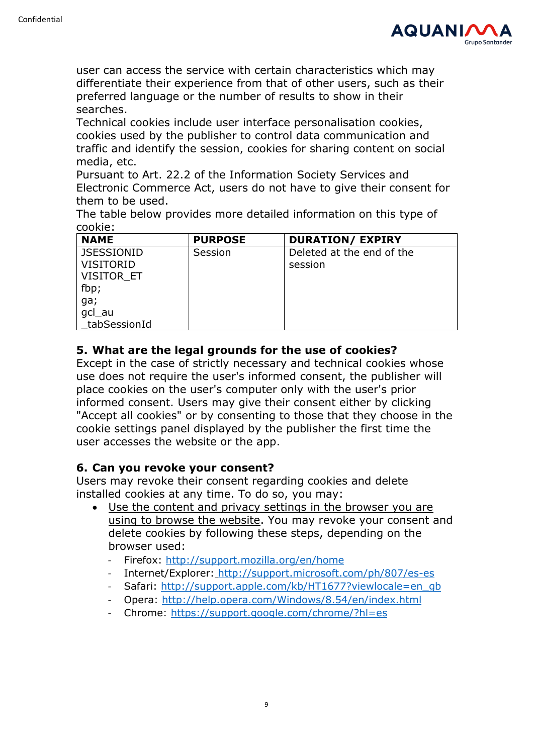

user can access the service with certain characteristics which may differentiate their experience from that of other users, such as their preferred language or the number of results to show in their searches.

Technical cookies include user interface personalisation cookies, cookies used by the publisher to control data communication and traffic and identify the session, cookies for sharing content on social media, etc.

Pursuant to Art. 22.2 of the Information Society Services and Electronic Commerce Act, users do not have to give their consent for them to be used.

The table below provides more detailed information on this type of cookie:

| <b>NAME</b>       | <b>PURPOSE</b> | <b>DURATION/ EXPIRY</b>   |
|-------------------|----------------|---------------------------|
| <b>JSESSIONID</b> | Session        | Deleted at the end of the |
| <b>VISITORID</b>  |                | session                   |
| VISITOR ET        |                |                           |
| fbp;              |                |                           |
| ga;               |                |                           |
| gcl_au            |                |                           |
| tabSessionId      |                |                           |

## **5. What are the legal grounds for the use of cookies?**

Except in the case of strictly necessary and technical cookies whose use does not require the user's informed consent, the publisher will place cookies on the user's computer only with the user's prior informed consent. Users may give their consent either by clicking "Accept all cookies" or by consenting to those that they choose in the cookie settings panel displayed by the publisher the first time the user accesses the website or the app.

## **6. Can you revoke your consent?**

Users may revoke their consent regarding cookies and delete installed cookies at any time. To do so, you may:

- Use the content and privacy settings in the browser you are using to browse the website. You may revoke your consent and delete cookies by following these steps, depending on the browser used:
	- Firefox: [http://support.mozilla.org/en/home](http://support.mozilla.org/es/home)
	- Internet/Explorer: <http://support.microsoft.com/ph/807/es-es>
	- Safari: [http://support.apple.com/kb/HT1677?viewlocale=en\\_gb](http://support.apple.com/kb/HT1677?viewlocale=es_ES)
	- Opera: [http://help.opera.com/Windows/8.54/en/index.html](http://help.opera.com/Windows/8.54/es-ES/index.html)
	- Chrome: <https://support.google.com/chrome/?hl=es>